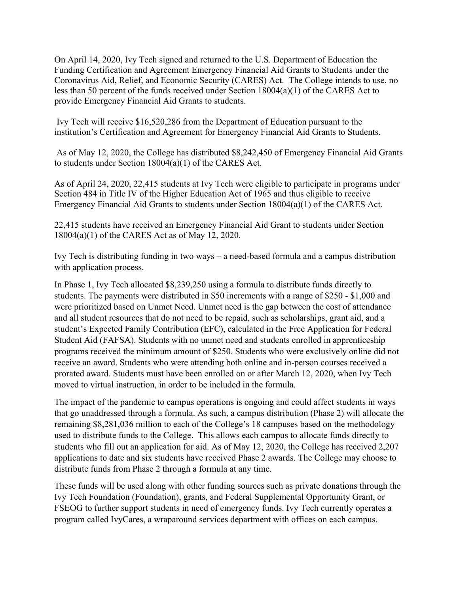On April 14, 2020, Ivy Tech signed and returned to the U.S. Department of Education the Funding Certification and Agreement Emergency Financial Aid Grants to Students under the Coronavirus Aid, Relief, and Economic Security (CARES) Act. The College intends to use, no less than 50 percent of the funds received under Section 18004(a)(1) of the CARES Act to provide Emergency Financial Aid Grants to students.

Ivy Tech will receive \$16,520,286 from the Department of Education pursuant to the institution's Certification and Agreement for Emergency Financial Aid Grants to Students.

As of May 12, 2020, the College has distributed \$8,242,450 of Emergency Financial Aid Grants to students under Section 18004(a)(1) of the CARES Act.

As of April 24, 2020, 22,415 students at Ivy Tech were eligible to participate in programs under Section 484 in Title IV of the Higher Education Act of 1965 and thus eligible to receive Emergency Financial Aid Grants to students under Section 18004(a)(1) of the CARES Act.

22,415 students have received an Emergency Financial Aid Grant to students under Section 18004(a)(1) of the CARES Act as of May 12, 2020.

Ivy Tech is distributing funding in two ways – a need-based formula and a campus distribution with application process.

In Phase 1, Ivy Tech allocated \$8,239,250 using a formula to distribute funds directly to students. The payments were distributed in \$50 increments with a range of \$250 - \$1,000 and were prioritized based on Unmet Need. Unmet need is the gap between the cost of attendance and all student resources that do not need to be repaid, such as scholarships, grant aid, and a student's Expected Family Contribution (EFC), calculated in the Free Application for Federal Student Aid (FAFSA). Students with no unmet need and students enrolled in apprenticeship programs received the minimum amount of \$250. Students who were exclusively online did not receive an award. Students who were attending both online and in-person courses received a prorated award. Students must have been enrolled on or after March 12, 2020, when Ivy Tech moved to virtual instruction, in order to be included in the formula.

The impact of the pandemic to campus operations is ongoing and could affect students in ways that go unaddressed through a formula. As such, a campus distribution (Phase 2) will allocate the remaining \$8,281,036 million to each of the College's 18 campuses based on the methodology used to distribute funds to the College. This allows each campus to allocate funds directly to students who fill out an application for aid. As of May 12, 2020, the College has received 2,207 applications to date and six students have received Phase 2 awards. The College may choose to distribute funds from Phase 2 through a formula at any time.

These funds will be used along with other funding sources such as private donations through the Ivy Tech Foundation (Foundation), grants, and Federal Supplemental Opportunity Grant, or FSEOG to further support students in need of emergency funds. Ivy Tech currently operates a program called IvyCares, a wraparound services department with offices on each campus.